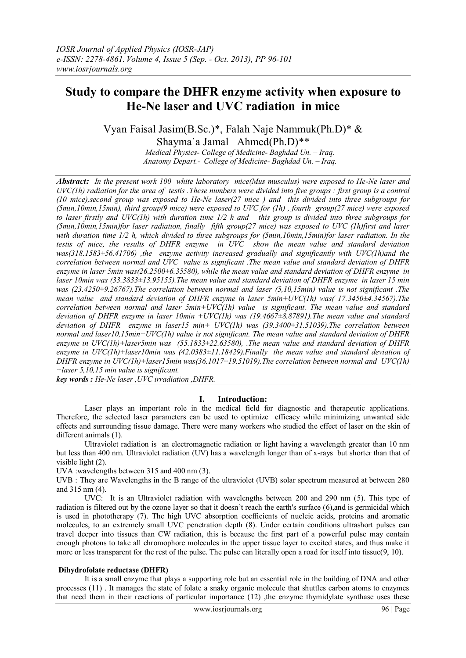# **Study to compare the DHFR enzyme activity when exposure to He-Ne laser and UVC radiation in mice**

Vyan Faisal Jasim(B.Sc.)\*, Falah Naje Nammuk(Ph.D)\* & Shayma`a Jamal Ahmed(Ph.D)\*\*

*Medical Physics- College of Medicine- Baghdad Un. – Iraq. Anatomy Depart.- College of Medicine- Baghdad Un. – Iraq.*

*Abstract: In the present work 100 white laboratory mice(Mus musculus) were exposed to He-Ne laser and UVC(1h) radiation for the area of testis .These numbers were divided into five groups : first group is a control (10 mice),second group was exposed to He-Ne laser(27 mice ) and this divided into three subgroups for (5min,10min,15min), third group(9 mice) were exposed to UVC for (1h) , fourth group(27 mice) were exposed to laser firstly and UVC(1h) with duration time 1/2 h and this group is divided into three subgroups for (5min,10min,15min)for laser radiation, finally fifth group(27 mice) was exposed to UVC (1h)first and laser with duration time 1/2 h, which divided to three subgroups for (5min,10min,15min)for laser radiation. In the testis of mice, the results of DHFR enzyme in UVC show the mean value and standard deviation was(318.1583±56.41706) ,the enzyme activity increased gradually and significantly with UVC(1h)and the correlation between normal and UVC value is significant .The mean value and standard deviation of DHFR enzyme in laser 5min was(26.2500±6.35580), while the mean value and standard deviation of DHFR enzyme in laser 10min was (33.3833±13.95155).The mean value and standard deviation of DHFR enzyme in laser 15 min was (23.4250±9.26767).The correlation between normal and laser (5,10,15min) value is not significant .The mean value and standard deviation of DHFR enzyme in laser 5min+UVC(1h) was( 17.3450±4.34567).The correlation between normal and laser 5min+UVC(1h) value is significant. The mean value and standard deviation of DHFR enzyme in laser 10min +UVC(1h) was (19.4667±8.87891).The mean value and standard deviation of DHFR enzyme in laser15 min+ UVC(1h) was (39.3400±31.51039).The correlation between normal and laser10,15min+UVC(1h) value is not significant. The mean value and standard deviation of DHFR enzyme in UVC(1h)+laser5min was (55.1833±22.63580), .The mean value and standard deviation of DHFR enzyme in UVC(1h)+laser10min was (42.0383±11.18429).Finally the mean value and standard deviation of DHFR enzyme in UVC(1h)+laser15min was(36.1017±19.51019).The correlation between normal and UVC(1h) +laser 5,10,15 min value is significant.*

*key words : He-Ne laser ,UVC irradiation ,DHFR.*

## **I. Introduction:**

 Laser plays an important role in the medical field for diagnostic and therapeutic applications. Therefore, the selected laser parameters can be used to optimize efficacy while minimizing unwanted side effects and surrounding tissue damage. There were many workers who studied the effect of laser on the skin of different animals (1).

 Ultraviolet radiation is an electromagnetic radiation or light having a wavelength greater than 10 nm but less than 400 nm. Ultraviolet radiation (UV) has a wavelength longer than of x-rays but shorter than that of visible light (2).

UVA :wavelengths between 315 and 400 nm (3).

UVB : They are Wavelengths in the B range of the ultraviolet (UVB) solar spectrum measured at between 280 and 315 nm (4).

UVC: It is an Ultraviolet radiation with wavelengths between 200 and 290 nm (5). This type of radiation is filtered out by the ozone layer so that it doesn't reach the earth's surface (6),and is germicidal which is used in phototherapy (7). The high UVC absorption coefficients of nucleic acids, proteins and aromatic molecules, to an extremely small UVC penetration depth (8). Under certain conditions ultrashort pulses can travel deeper into tissues than CW radiation, this is because the first part of a powerful pulse may contain enough photons to take all chromophore molecules in the upper tissue layer to excited states, and thus make it more or less transparent for the rest of the pulse. The pulse can literally open a road for itself into tissue(9, 10).

#### **Dihydrofolate reductase (DHFR)**

 It is a small enzyme that plays a supporting role but an essential role in the building of DNA and other processes (11) . It manages the state of folate a snaky organic molecule that shuttles carbon atoms to enzymes that need them in their reactions of particular importance (12) , the enzyme thymidylate synthase uses these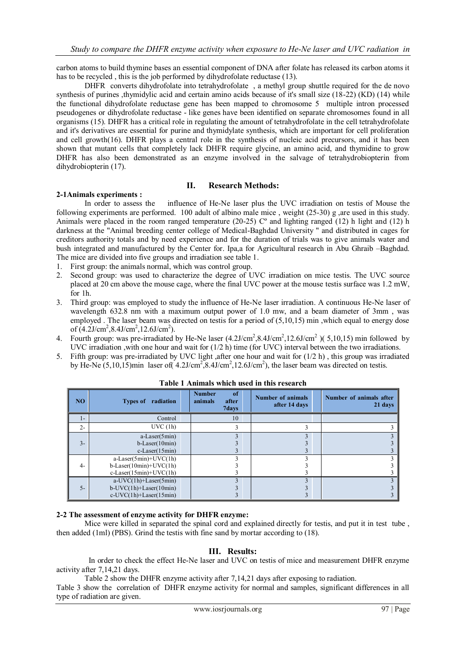carbon atoms to build thymine bases an essential component of DNA after folate has released its carbon atoms it has to be recycled, this is the job performed by dihydrofolate reductase (13).

 DHFR converts dihydrofolate into tetrahydrofolate , a methyl group shuttle required for the de novo synthesis of purines ,thymidylic acid and certain amino acids because of it's small size (18-22) (KD) (14) while the functional dihydrofolate reductase gene has been mapped to chromosome 5 multiple intron processed pseudogenes or dihydrofolate reductase - like genes have been identified on separate chromosomes found in all organisms (15). DHFR has a critical role in regulating the amount of tetrahydrofolate in the cell tetrahydrofolate and it's derivatives are essential for purine and thymidylate synthesis, which are important for cell proliferation and cell growth(16). DHFR plays a central role in the synthesis of nucleic acid precursors, and it has been shown that mutant cells that completely lack DHFR require glycine, an amino acid, and thymidine to grow DHFR has also been demonstrated as an enzyme involved in the salvage of tetrahydrobiopterin from dihydrobiopterin (17).

## **II. Research Methods:**

#### **2-1Animals experiments :**

In order to assess the influence of He-Ne laser plus the UVC irradiation on testis of Mouse the following experiments are performed. 100 adult of albino male mice , weight (25-30) g ,are used in this study. Animals were placed in the room ranged temperature (20-25)  $C^{\circ}$  and lighting ranged (12) h light and (12) h darkness at the "Animal breeding center college of Medical-Baghdad University " and distributed in cages for creditors authority totals and by need experience and for the duration of trials was to give animals water and bush integrated and manufactured by the Center for. Ipa,a for Agricultural research in Abu Ghraib –Baghdad. The mice are divided into five groups and irradiation see table 1.

- 1. First group: the animals normal, which was control group.
- 2. Second group: was used to characterize the degree of UVC irradiation on mice testis. The UVC source placed at 20 cm above the mouse cage, where the final UVC power at the mouse testis surface was 1.2 mW, for 1h.
- 3. Third group: was employed to study the influence of He-Ne laser irradiation. A continuous He-Ne laser of wavelength 632.8 nm with a maximum output power of 1.0 mw, and a beam diameter of 3mm , was employed. The laser beam was directed on testis for a period of (5,10,15) min, which equal to energy dose of  $(4.2J/cm^2, 8.4J/cm^2, 12.6J/cm^2)$ .
- 4. Fourth group: was pre-irradiated by He-Ne laser  $(4.2 \text{J/cm}^2, 8.4 \text{J/cm}^2, 12.6 \text{J/cm}^2)$  (5,10,15) min followed by UVC irradiation , with one hour and wait for (1/2 h) time (for UVC) interval between the two irradiations.
- 5. Fifth group: was pre-irradiated by UVC light ,after one hour and wait for  $(1/2 h)$ , this group was irradiated by He-Ne  $(5, 10, 15)$ min laser of( $4.2$ J/cm<sup>2</sup>, $8.4$ J/cm<sup>2</sup>, $12.6$ J/cm<sup>2</sup>), the laser beam was directed on testis.

| <b>NO</b> | <b>Types of</b><br>radiation                                                                      | of<br><b>Number</b><br>animals<br>after<br>7days | <b>Number of animals</b><br>after 14 days | Number of animals after<br>21 days |
|-----------|---------------------------------------------------------------------------------------------------|--------------------------------------------------|-------------------------------------------|------------------------------------|
| $1-$      | Control                                                                                           | 10                                               |                                           |                                    |
| $2 -$     | UVC(1h)                                                                                           |                                                  |                                           |                                    |
| $3 -$     | $a-Laser(5min)$<br>$b$ -Laser $(10min)$<br>$c$ -Laser $(15min)$                                   |                                                  |                                           |                                    |
| $4-$      | $a-Laser(5min)+UVC(1h)$<br>$b$ -Laser $(10min)+UVC(1h)$<br>$c$ -Laser $(15min)+UVC(1h)$           |                                                  |                                           |                                    |
| $5 -$     | $a-UVC(1h) + Laser(5min)$<br>$b$ -UVC $(1h)$ +Laser $(10min)$<br>$c$ -UVC $(1h)$ +Laser $(15min)$ |                                                  |                                           |                                    |

#### **Table 1 Animals which used in this research**

#### **2-2 The assessment of enzyme activity for DHFR enzyme:**

Mice were killed in separated the spinal cord and explained directly for testis, and put it in test tube, then added (1ml) (PBS). Grind the testis with fine sand by mortar according to (18).

#### **III. Results:**

 In order to check the effect He-Ne laser and UVC on testis of mice and measurement DHFR enzyme activity after 7,14,21 days.

Table 2 show the DHFR enzyme activity after 7,14,21 days after exposing to radiation.

Table 3 show the correlation of DHFR enzyme activity for normal and samples, significant differences in all type of radiation are given.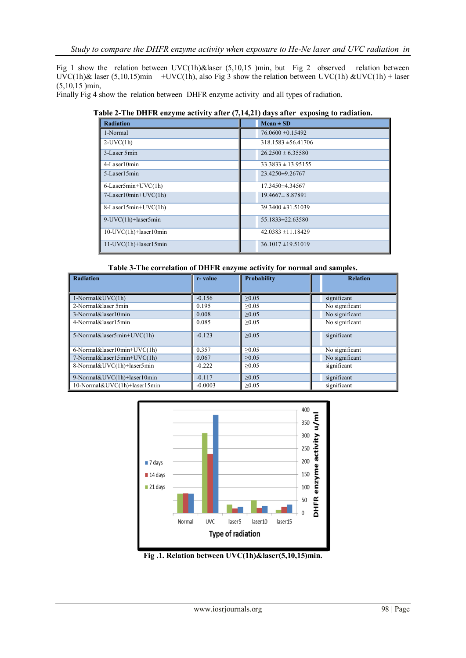Fig 1 show the relation between UVC(1h)&laser (5,10,15 )min, but Fig 2 observed relation between  $\text{UVC}(1h)$ & laser (5,10,15)min +UVC(1h), also Fig 3 show the relation between UVC(1h) &UVC(1h) + laser (5,10,15 )min,

Finally Fig 4 show the relation between DHFR enzyme activity and all types of radiation.

**Table 2-The DHFR enzyme activity after (7,14,21) days after exposing to radiation.**

| <b>Radiation</b>                 | $Mean \pm SD$           |
|----------------------------------|-------------------------|
| 1-Normal                         | $76.0600 \pm 0.15492$   |
| $2$ -UVC $(1h)$                  | $318.1583 \pm 56.41706$ |
| 3-Laser 5min                     | $26.2500 \pm 6.35580$   |
| 4-Laser10min                     | $33.3833 \pm 13.95155$  |
| 5-Laser15min                     | $23.4250 \pm 9.26767$   |
| $6$ -Laser5min+UVC $(1h)$        | 17.3450 ± 4.34567       |
| $7$ -Laser $10$ min+UVC $(1h)$   | $19.4667 \pm 8.87891$   |
| $8$ -Laser15min+UVC(1h)          | $39.3400 \pm 31.51039$  |
| 9-UVC(1h)+laser5min              | 55.1833±22.63580        |
| $10$ -UVC $(1h)$ +laser $10$ min | $42.0383 \pm 11.18429$  |
| $11$ -UVC $(1h)$ +laser $15min$  | $36.1017 \pm 19.51019$  |

**Table 3-The correlation of DHFR enzyme activity for normal and samples.**

| <b>Radiation</b>               | r-value   | Probability | <b>Relation</b> |
|--------------------------------|-----------|-------------|-----------------|
|                                |           |             |                 |
| $1$ -Normal $&$ UVC $(1h)$     | $-0.156$  | >0.05       | significant     |
| 2-Normal&laser 5min            | 0.195     | >0.05       | No significant  |
| 3-Normal&laser10min            | 0.008     | >0.05       | No significant  |
| 4-Normal&laser15min            | 0.085     | >0.05       | No significant  |
| 5-Normal&laser5min+ $UVC(1h)$  | $-0.123$  | >0.05       | significant     |
| $6$ -Normal&laser10min+UVC(1h) | 0.357     | >0.05       | No significant  |
| 7-Normal&laser15min+UVC(1h)    | 0.067     | >0.05       | No significant  |
| 8-Normal&UVC(1h)+laser5min     | $-0.222$  | >0.05       | significant     |
| 9-Normal&UVC(1h)+laser10min    | $-0.117$  | >0.05       | significant     |
| 10-Normal&UVC(1h)+laser15min   | $-0.0003$ | >0.05       | significant     |



**Fig .1. Relation between UVC(1h)&laser(5,10,15)min.**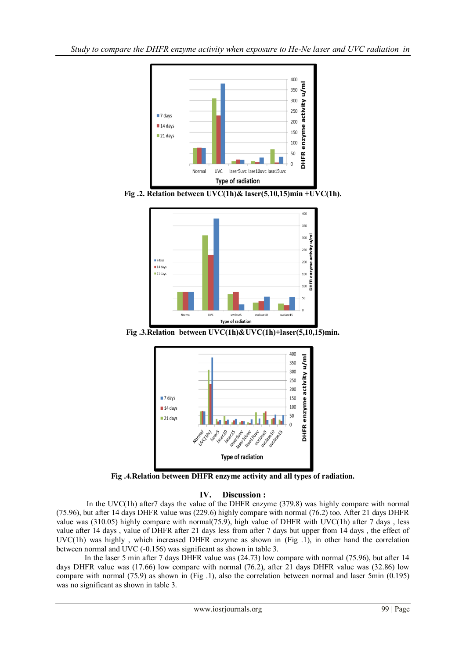

**Fig .2. Relation between UVC(1h)& laser(5,10,15)min +UVC(1h).**



**Fig .3.Relation between UVC(1h)&UVC(1h)+laser(5,10,15)min.**



**Fig .4.Relation between DHFR enzyme activity and all types of radiation.**

# **IV. Discussion :**

 In the UVC(1h) after7 days the value of the DHFR enzyme (379.8) was highly compare with normal (75.96), but after 14 days DHFR value was (229.6) highly compare with normal (76.2) too. After 21 days DHFR value was (310.05) highly compare with normal(75.9), high value of DHFR with UVC(1h) after 7 days , less value after 14 days , value of DHFR after 21 days less from after 7 days but upper from 14 days , the effect of UVC(1h) was highly , which increased DHFR enzyme as shown in (Fig .1), in other hand the correlation between normal and UVC (-0.156) was significant as shown in table 3.

 In the laser 5 min after 7 days DHFR value was (24.73) low compare with normal (75.96), but after 14 days DHFR value was (17.66) low compare with normal (76.2), after 21 days DHFR value was (32.86) low compare with normal (75.9) as shown in (Fig .1), also the correlation between normal and laser 5min (0.195) was no significant as shown in table 3.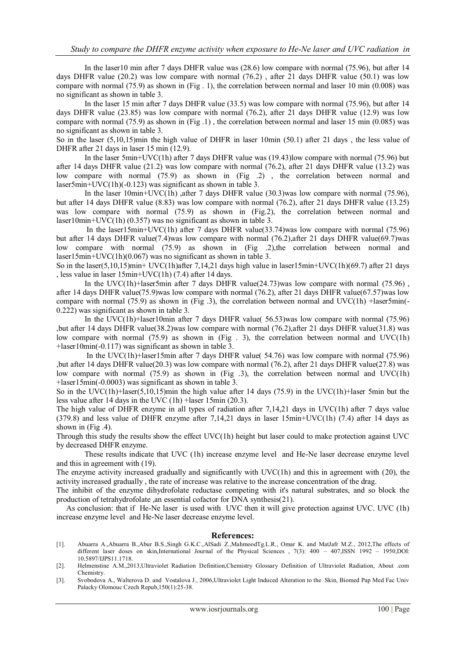In the laser10 min after 7 days DHFR value was (28.6) low compare with normal (75.96), but after 14 days DHFR value (20.2) was low compare with normal (76.2) , after 21 days DHFR value (50.1) was low compare with normal (75.9) as shown in (Fig . 1), the correlation between normal and laser 10 min (0.008) was no significant as shown in table 3.

 In the laser 15 min after 7 days DHFR value (33.5) was low compare with normal (75.96), but after 14 days DHFR value (23.85) was low compare with normal (76.2), after 21 days DHFR value (12.9) was low compare with normal (75.9) as shown in (Fig .1) , the correlation between normal and laser 15 min (0.085) was no significant as shown in table 3.

So in the laser (5,10,15)min the high value of DHFR in laser 10min (50.1) after 21 days , the less value of DHFR after 21 days in laser 15 min (12.9).

 In the laser 5min+UVC(1h) after 7 days DHFR value was (19.43)low compare with normal (75.96) but after 14 days DHFR value (21.2) was low compare with normal (76.2), after 21 days DHFR value (13.2) was low compare with normal (75.9) as shown in (Fig .2) , the correlation between normal and laser5min+UVC(1h)(-0.123) was significant as shown in table 3.

 In the laser 10min+UVC(1h) ,after 7 days DHFR value (30.3)was low compare with normal (75.96), but after 14 days DHFR value (8.83) was low compare with normal (76.2), after 21 days DHFR value (13.25) was low compare with normal (75.9) as shown in (Fig.2), the correlation between normal and laser10min+UVC(1h) (0.357) was no significant as shown in table 3.

 In the laser15min+UVC(1h) after 7 days DHFR value(33.74)was low compare with normal (75.96) but after 14 days DHFR value(7.4)was low compare with normal (76.2),after 21 days DHFR value(69.7)was low compare with normal (75.9) as shown in (Fig .2), the correlation between normal and laser15min+UVC(1h)(0.067) was no significant as shown in table 3.

So in the laser(5,10,15)min+ UVC(1h)after 7,14,21 days high value in laser15min+UVC(1h)(69.7) after 21 days , less value in laser 15min+UVC(1h) (7.4) after 14 days.

In the UVC(1h)+laser5min after 7 days DHFR value(24.73)was low compare with normal (75.96), after 14 days DHFR value(75.9)was low compare with normal (76.2), after 21 days DHFR value(67.57)was low compare with normal (75.9) as shown in (Fig .3), the correlation between normal and UVC(1h) +laser5min(-0.222) was significant as shown in table 3.

 In the UVC(1h)+laser10min after 7 days DHFR value( 56.53)was low compare with normal (75.96) ,but after 14 days DHFR value(38.2)was low compare with normal (76.2),after 21 days DHFR value(31.8) was low compare with normal  $(75.9)$  as shown in (Fig . 3), the correlation between normal and UVC(1h) +laser10min(-0.117) was significant as shown in table 3.

 In the UVC(1h)+laser15min after 7 days DHFR value( 54.76) was low compare with normal (75.96) ,but after 14 days DHFR value(20.3) was low compare with normal (76.2), after 21 days DHFR value(27.8) was low compare with normal  $(75.9)$  as shown in (Fig .3), the correlation between normal and UVC(1h) +laser15min(-0.0003) was significant as shown in table 3.

So in the UVC(1h)+laser(5,10,15)min the high value after 14 days (75.9) in the UVC(1h)+laser 5min but the less value after 14 days in the UVC (1h) +laser 15min (20.3).

The high value of DHFR enzyme in all types of radiation after 7,14,21 days in UVC(1h) after 7 days value (379.8) and less value of DHFR enzyme after 7,14,21 days in laser 15min+UVC(1h) (7.4) after 14 days as shown in (Fig .4).

Through this study the results show the effect UVC(1h) height but laser could to make protection against UVC by decreased DHFR enzyme.

 These results indicate that UVC (1h) increase enzyme level and He-Ne laser decrease enzyme level and this in agreement with (19).

The enzyme activity increased gradually and significantly with UVC(1h) and this in agreement with (20), the activity increased gradually , the rate of increase was relative to the increase concentration of the drag.

The inhibit of the enzyme dihydrofolate reductase competing with it's natural substrates, and so block the production of tetrahydrofolate ,an essential cofactor for DNA synthesis(21).

 As conclusion: that if He-Ne laser is used with UVC then it will give protection against UVC. UVC (1h) increase enzyme level and He-Ne laser decrease enzyme level.

#### **References:**

[1]. Abuarra A.,Abuarra B.,Abur B.S.,Singh G.K.C.,AlSadi Z.,MahmoodTg.L.R., Omar K. and MatJafr M.Z., 2012,The effects of different laser doses on skin,International Journal of the Physical Sciences , 7(3): 400 – 407,ISSN 1992 – 1950,DOI: 10.5897/IJPS11.1718.

[2]. Helmenstine A.M.,2013,Ultraviolet Radiation Definition,Chemistry Glossary Definition of Ultraviolet Radiation, About .com Chemistry.

[3]. Svobodova A., Walterova D. and Vostalova J., 2006,Ultraviolet Light Induced Alteration to the Skin, Biomed Pap Med Fac Univ Palacky Olomouc Czech Repub,150(1):25-38.